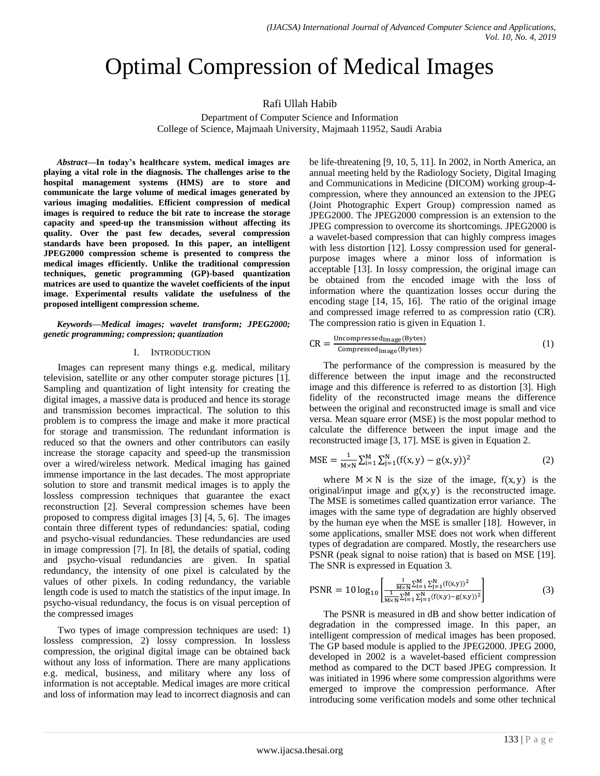# Optimal Compression of Medical Images

# Rafi Ullah Habib

Department of Computer Science and Information College of Science, Majmaah University, Majmaah 11952, Saudi Arabia

*Abstract***—In today's healthcare system, medical images are playing a vital role in the diagnosis. The challenges arise to the hospital management systems (HMS) are to store and communicate the large volume of medical images generated by various imaging modalities. Efficient compression of medical images is required to reduce the bit rate to increase the storage capacity and speed-up the transmission without affecting its quality. Over the past few decades, several compression standards have been proposed. In this paper, an intelligent JPEG2000 compression scheme is presented to compress the medical images efficiently. Unlike the traditional compression techniques, genetic programming (GP)-based quantization matrices are used to quantize the wavelet coefficients of the input image. Experimental results validate the usefulness of the proposed intelligent compression scheme.**

# *Keywords—Medical images; wavelet transform; JPEG2000; genetic programming; compression; quantization*

# I. INTRODUCTION

Images can represent many things e.g. medical, military television, satellite or any other computer storage pictures [1]. Sampling and quantization of light intensity for creating the digital images, a massive data is produced and hence its storage and transmission becomes impractical. The solution to this problem is to compress the image and make it more practical for storage and transmission. The redundant information is reduced so that the owners and other contributors can easily increase the storage capacity and speed-up the transmission over a wired/wireless network. Medical imaging has gained immense importance in the last decades. The most appropriate solution to store and transmit medical images is to apply the lossless compression techniques that guarantee the exact reconstruction [2]. Several compression schemes have been proposed to compress digital images [3] [4, 5, 6]. The images contain three different types of redundancies: spatial, coding and psycho-visual redundancies. These redundancies are used in image compression [7]. In [8], the details of spatial, coding and psycho-visual redundancies are given. In spatial redundancy, the intensity of one pixel is calculated by the values of other pixels. In coding redundancy, the variable length code is used to match the statistics of the input image. In psycho-visual redundancy, the focus is on visual perception of the compressed images

Two types of image compression techniques are used: 1) lossless compression, 2) lossy compression. In lossless compression, the original digital image can be obtained back without any loss of information. There are many applications e.g. medical, business, and military where any loss of information is not acceptable. Medical images are more critical and loss of information may lead to incorrect diagnosis and can be life-threatening [9, 10, 5, 11]. In 2002, in North America, an annual meeting held by the Radiology Society, Digital Imaging and Communications in Medicine (DICOM) working group-4 compression, where they announced an extension to the JPEG (Joint Photographic Expert Group) compression named as JPEG2000. The JPEG2000 compression is an extension to the JPEG compression to overcome its shortcomings. JPEG2000 is a wavelet-based compression that can highly compress images with less distortion [12]. Lossy compression used for generalpurpose images where a minor loss of information is acceptable [13]. In lossy compression, the original image can be obtained from the encoded image with the loss of information where the quantization losses occur during the encoding stage [14, 15, 16]. The ratio of the original image and compressed image referred to as compression ratio (CR). The compression ratio is given in Equation 1.

$$
CR = \frac{Uncompressed_{Image}(Bytes)}{Compressed_{Image}(Bytes)}
$$
 (1)

The performance of the compression is measured by the difference between the input image and the reconstructed image and this difference is referred to as distortion [3]. High fidelity of the reconstructed image means the difference between the original and reconstructed image is small and vice versa. Mean square error (MSE) is the most popular method to calculate the difference between the input image and the reconstructed image [3, 17]. MSE is given in Equation 2.

$$
MSE = \frac{1}{M \times N} \sum_{i=1}^{M} \sum_{j=1}^{N} (f(x, y) - g(x, y))^2
$$
 (2)

where  $M \times N$  is the size of the image,  $f(x, y)$  is the original/input image and  $g(x, y)$  is the reconstructed image. The MSE is sometimes called quantization error variance. The images with the same type of degradation are highly observed by the human eye when the MSE is smaller [18]. However, in some applications, smaller MSE does not work when different types of degradation are compared. Mostly, the researchers use PSNR (peak signal to noise ration) that is based on MSE [19]. The SNR is expressed in Equation 3.

$$
PSNR = 10 \log_{10} \left[ \frac{\frac{1}{N \times N} \sum_{i=1}^{N} \sum_{j=1}^{N} (f(x,y))^2}{\frac{1}{N \times N} \sum_{i=1}^{M} \sum_{j=1}^{N} (f(x,y) - g(x,y))^2} \right]
$$
(3)

The PSNR is measured in dB and show better indication of degradation in the compressed image. In this paper, an intelligent compression of medical images has been proposed. The GP based module is applied to the JPEG2000. JPEG 2000, developed in 2002 is a wavelet-based efficient compression method as compared to the DCT based JPEG compression. It was initiated in 1996 where some compression algorithms were emerged to improve the compression performance. After introducing some verification models and some other technical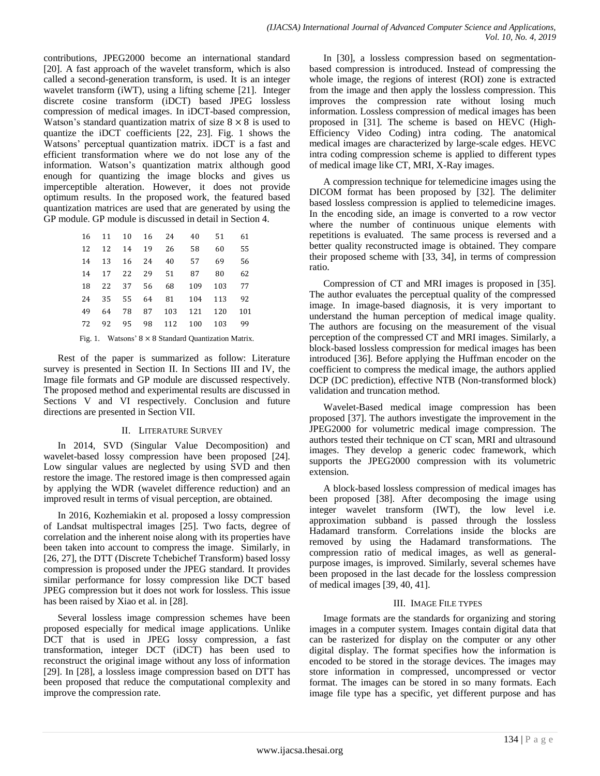contributions, JPEG2000 become an international standard [20]. A fast approach of the wavelet transform, which is also called a second-generation transform, is used. It is an integer wavelet transform (iWT), using a lifting scheme [21]. Integer discrete cosine transform (iDCT) based JPEG lossless compression of medical images. In iDCT-based compression, Watson's standard quantization matrix of size  $8 \times 8$  is used to quantize the iDCT coefficients [22, 23]. Fig. 1 shows the Watsons' perceptual quantization matrix. iDCT is a fast and efficient transformation where we do not lose any of the information. Watson's quantization matrix although good enough for quantizing the image blocks and gives us imperceptible alteration. However, it does not provide optimum results. In the proposed work, the featured based quantization matrices are used that are generated by using the GP module. GP module is discussed in detail in Section 4.

| 16 |    |          |          | 11 10 16 24 | 40               | 51  | 61  |
|----|----|----------|----------|-------------|------------------|-----|-----|
| 12 | 12 | 14       | 19       | 26          | 58               | 60  | 55  |
| 14 | 13 |          | 16 24    | 40          | 57               | 69  | 56  |
| 14 | 17 |          | 22 29 51 |             | 87               | 80  | 62  |
| 18 |    | 22 37    | 56       |             | 68 109           | 103 | 77  |
| 24 |    | 35 55 64 |          |             | 81 104 113       |     | 92  |
| 49 | 64 | 78       | 87       |             | 103 121          | 120 | 101 |
| 72 |    |          |          |             | 92 95 98 112 100 | 103 | 99  |
|    |    |          |          |             |                  |     |     |

Fig. 1. Watsons'  $8 \times 8$  Standard Quantization Matrix.

Rest of the paper is summarized as follow: Literature survey is presented in Section II. In Sections III and IV, the Image file formats and GP module are discussed respectively. The proposed method and experimental results are discussed in Sections V and VI respectively. Conclusion and future directions are presented in Section VII.

# II. LITERATURE SURVEY

In 2014, SVD (Singular Value Decomposition) and wavelet-based lossy compression have been proposed [24]. Low singular values are neglected by using SVD and then restore the image. The restored image is then compressed again by applying the WDR (wavelet difference reduction) and an improved result in terms of visual perception, are obtained.

In 2016, Kozhemiakin et al. proposed a lossy compression of Landsat multispectral images [25]. Two facts, degree of correlation and the inherent noise along with its properties have been taken into account to compress the image. Similarly, in [26, 27], the DTT (Discrete Tchebichef Transform) based lossy compression is proposed under the JPEG standard. It provides similar performance for lossy compression like DCT based JPEG compression but it does not work for lossless. This issue has been raised by Xiao et al. in [28].

Several lossless image compression schemes have been proposed especially for medical image applications. Unlike DCT that is used in JPEG lossy compression, a fast transformation, integer DCT (iDCT) has been used to reconstruct the original image without any loss of information [29]. In [28], a lossless image compression based on DTT has been proposed that reduce the computational complexity and improve the compression rate.

In [30], a lossless compression based on segmentationbased compression is introduced. Instead of compressing the whole image, the regions of interest (ROI) zone is extracted from the image and then apply the lossless compression. This improves the compression rate without losing much information. Lossless compression of medical images has been proposed in [31]. The scheme is based on HEVC (High-Efficiency Video Coding) intra coding. The anatomical medical images are characterized by large-scale edges. HEVC intra coding compression scheme is applied to different types of medical image like CT, MRI, X-Ray images.

A compression technique for telemedicine images using the DICOM format has been proposed by [32]. The delimiter based lossless compression is applied to telemedicine images. In the encoding side, an image is converted to a row vector where the number of continuous unique elements with repetitions is evaluated. The same process is reversed and a better quality reconstructed image is obtained. They compare their proposed scheme with [33, 34], in terms of compression ratio.

Compression of CT and MRI images is proposed in [35]. The author evaluates the perceptual quality of the compressed image. In image-based diagnosis, it is very important to understand the human perception of medical image quality. The authors are focusing on the measurement of the visual perception of the compressed CT and MRI images. Similarly, a block-based lossless compression for medical images has been introduced [36]. Before applying the Huffman encoder on the coefficient to compress the medical image, the authors applied DCP (DC prediction), effective NTB (Non-transformed block) validation and truncation method.

Wavelet-Based medical image compression has been proposed [37]. The authors investigate the improvement in the JPEG2000 for volumetric medical image compression. The authors tested their technique on CT scan, MRI and ultrasound images. They develop a generic codec framework, which supports the JPEG2000 compression with its volumetric extension.

A block-based lossless compression of medical images has been proposed [38]. After decomposing the image using integer wavelet transform (IWT), the low level i.e. approximation subband is passed through the lossless Hadamard transform. Correlations inside the blocks are removed by using the Hadamard transformations. The compression ratio of medical images, as well as generalpurpose images, is improved. Similarly, several schemes have been proposed in the last decade for the lossless compression of medical images [39, 40, 41].

# III. IMAGE FILE TYPES

Image formats are the standards for organizing and storing images in a computer system. Images contain digital data that can be rasterized for display on the computer or any other digital display. The format specifies how the information is encoded to be stored in the storage devices. The images may store information in compressed, uncompressed or vector format. The images can be stored in so many formats. Each image file type has a specific, yet different purpose and has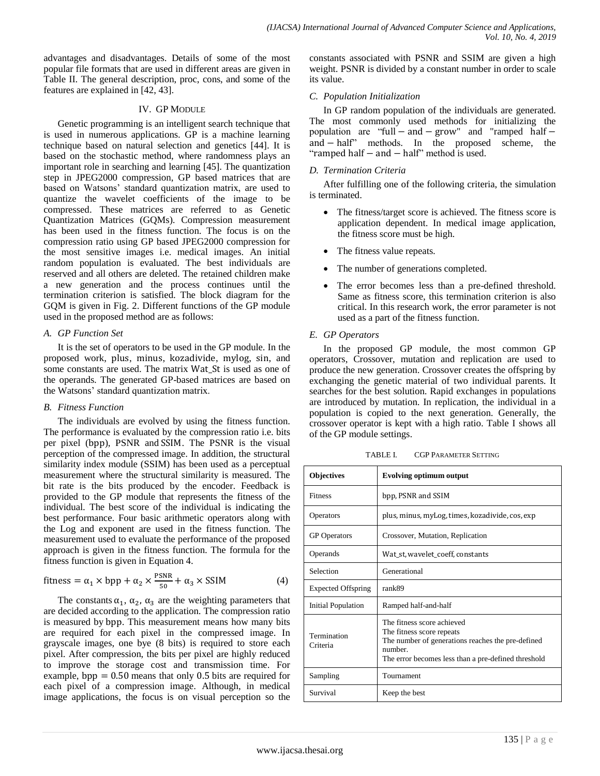advantages and disadvantages. Details of some of the most popular file formats that are used in different areas are given in Table II. The general description, proc, cons, and some of the features are explained in [42, 43].

# IV. GP MODULE

Genetic programming is an intelligent search technique that is used in numerous applications. GP is a machine learning technique based on natural selection and genetics [44]. It is based on the stochastic method, where randomness plays an important role in searching and learning [45]. The quantization step in JPEG2000 compression, GP based matrices that are based on Watsons' standard quantization matrix, are used to quantize the wavelet coefficients of the image to be compressed. These matrices are referred to as Genetic Quantization Matrices (GQMs). Compression measurement has been used in the fitness function. The focus is on the compression ratio using GP based JPEG2000 compression for the most sensitive images i.e. medical images. An initial random population is evaluated. The best individuals are reserved and all others are deleted. The retained children make a new generation and the process continues until the termination criterion is satisfied. The block diagram for the GQM is given in Fig. 2. Different functions of the GP module used in the proposed method are as follows:

# *A. GP Function Set*

It is the set of operators to be used in the GP module. In the proposed work, plus, minus, kozadivide, mylog, sin, and some constants are used. The matrix Wat\_St is used as one of the operands. The generated GP-based matrices are based on the Watsons' standard quantization matrix.

# *B. Fitness Function*

The individuals are evolved by using the fitness function. The performance is evaluated by the compression ratio i.e. bits per pixel (bpp), PSNR and SSIM. The PSNR is the visual perception of the compressed image. In addition, the structural similarity index module (SSIM) has been used as a perceptual measurement where the structural similarity is measured. The bit rate is the bits produced by the encoder. Feedback is provided to the GP module that represents the fitness of the individual. The best score of the individual is indicating the best performance. Four basic arithmetic operators along with the Log and exponent are used in the fitness function. The measurement used to evaluate the performance of the proposed approach is given in the fitness function. The formula for the fitness function is given in Equation 4.

$$
fitness = \alpha_1 \times bpp + \alpha_2 \times \frac{psNR}{50} + \alpha_3 \times SSIM
$$
 (4)

The constants  $\alpha_1$ ,  $\alpha_2$ ,  $\alpha_3$  are the weighting parameters that are decided according to the application. The compression ratio is measured by bpp. This measurement means how many bits are required for each pixel in the compressed image. In grayscale images, one bye (8 bits) is required to store each pixel. After compression, the bits per pixel are highly reduced to improve the storage cost and transmission time. For example,  $bpp = 0.50$  means that only 0.5 bits are required for each pixel of a compression image. Although, in medical image applications, the focus is on visual perception so the

constants associated with PSNR and SSIM are given a high weight. PSNR is divided by a constant number in order to scale its value.

# *C. Population Initialization*

In GP random population of the individuals are generated. The most commonly used methods for initializing the population are "full  $-$  and  $-$  grow" and "ramped half  $$ and - half" methods. In the proposed scheme, the " ramped half  $-$  and  $-$  half" method is used.

# *D. Termination Criteria*

After fulfilling one of the following criteria, the simulation is terminated.

- The fitness/target score is achieved. The fitness score is application dependent. In medical image application, the fitness score must be high.
- The fitness value repeats.
- The number of generations completed.
- The error becomes less than a pre-defined threshold. Same as fitness score, this termination criterion is also critical. In this research work, the error parameter is not used as a part of the fitness function.

# *E. GP Operators*

In the proposed GP module, the most common GP operators, Crossover, mutation and replication are used to produce the new generation. Crossover creates the offspring by exchanging the genetic material of two individual parents. It searches for the best solution. Rapid exchanges in populations are introduced by mutation. In replication, the individual in a population is copied to the next generation. Generally, the crossover operator is kept with a high ratio. Table I shows all of the GP module settings.

TABLE I. CGP PARAMETER SETTING

| <b>Objectives</b>         | <b>Evolving optimum output</b>                                                                                                                                                 |  |  |  |  |
|---------------------------|--------------------------------------------------------------------------------------------------------------------------------------------------------------------------------|--|--|--|--|
| <b>Fitness</b>            | bpp, PSNR and SSIM                                                                                                                                                             |  |  |  |  |
| <b>Operators</b>          | plus, minus, myLog, times, kozadivide, cos, exp                                                                                                                                |  |  |  |  |
| <b>GP</b> Operators       | Crossover, Mutation, Replication                                                                                                                                               |  |  |  |  |
| Operands                  | Wat_st, wavelet_coeff, constants                                                                                                                                               |  |  |  |  |
| Selection                 | Generational                                                                                                                                                                   |  |  |  |  |
| <b>Expected Offspring</b> | rank89                                                                                                                                                                         |  |  |  |  |
| <b>Initial Population</b> | Ramped half-and-half                                                                                                                                                           |  |  |  |  |
| Termination<br>Criteria   | The fitness score achieved<br>The fitness score repeats<br>The number of generations reaches the pre-defined<br>number.<br>The error becomes less than a pre-defined threshold |  |  |  |  |
| Sampling                  | Tournament                                                                                                                                                                     |  |  |  |  |
| Survival                  | Keep the best                                                                                                                                                                  |  |  |  |  |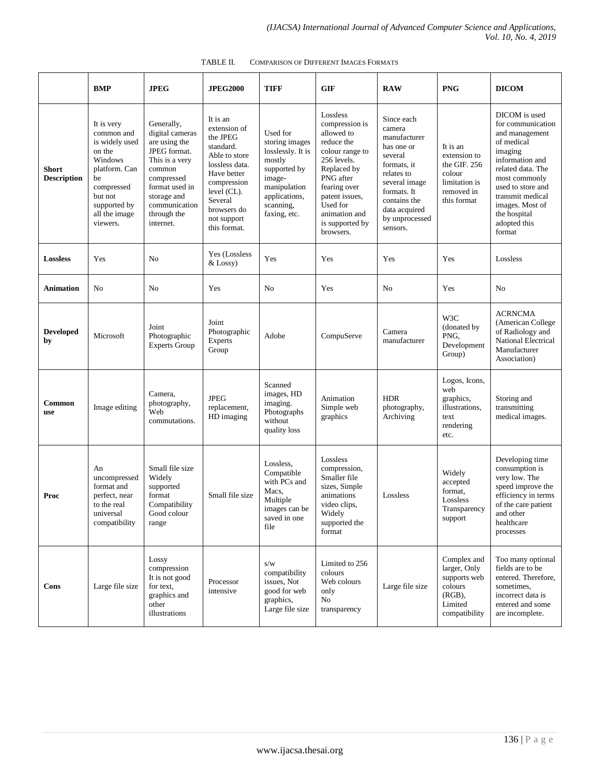|                                    | <b>BMP</b>                                                                                                                                                   | <b>JPEG</b>                                                                                                                                                                            | <b>JPEG2000</b>                                                                                                                                                                            | <b>TIFF</b>                                                                                                                                       | <b>GIF</b>                                                                                                                                                                                                          | <b>RAW</b>                                                                                                                                                                                | <b>PNG</b>                                                                                       | <b>DICOM</b>                                                                                                                                                                                                                                 |
|------------------------------------|--------------------------------------------------------------------------------------------------------------------------------------------------------------|----------------------------------------------------------------------------------------------------------------------------------------------------------------------------------------|--------------------------------------------------------------------------------------------------------------------------------------------------------------------------------------------|---------------------------------------------------------------------------------------------------------------------------------------------------|---------------------------------------------------------------------------------------------------------------------------------------------------------------------------------------------------------------------|-------------------------------------------------------------------------------------------------------------------------------------------------------------------------------------------|--------------------------------------------------------------------------------------------------|----------------------------------------------------------------------------------------------------------------------------------------------------------------------------------------------------------------------------------------------|
| <b>Short</b><br><b>Description</b> | It is very<br>common and<br>is widely used<br>on the<br>Windows<br>platform. Can<br>be<br>compressed<br>but not<br>supported by<br>all the image<br>viewers. | Generally,<br>digital cameras<br>are using the<br>JPEG format.<br>This is a very<br>common<br>compressed<br>format used in<br>storage and<br>communication<br>through the<br>internet. | It is an<br>extension of<br>the JPEG<br>standard.<br>Able to store<br>lossless data.<br>Have better<br>compression<br>level (CL).<br>Several<br>browsers do<br>not support<br>this format. | Used for<br>storing images<br>losslessly. It is<br>mostly<br>supported by<br>image-<br>manipulation<br>applications,<br>scanning,<br>faxing, etc. | Lossless<br>compression is<br>allowed to<br>reduce the<br>colour range to<br>256 levels.<br>Replaced by<br>PNG after<br>fearing over<br>patent issues,<br>Used for<br>animation and<br>is supported by<br>browsers. | Since each<br>camera<br>manufacturer<br>has one or<br>several<br>formats, it<br>relates to<br>several image<br>formats. It<br>contains the<br>data acquired<br>by unprocessed<br>sensors. | It is an<br>extension to<br>the GIF. 256<br>colour<br>limitation is<br>removed in<br>this format | DICOM is used<br>for communication<br>and management<br>of medical<br>imaging<br>information and<br>related data. The<br>most commonly<br>used to store and<br>transmit medical<br>images. Most of<br>the hospital<br>adopted this<br>format |
| <b>Lossless</b>                    | Yes                                                                                                                                                          | N <sub>0</sub>                                                                                                                                                                         | Yes (Lossless<br>& Lossy)                                                                                                                                                                  | Yes                                                                                                                                               | Yes                                                                                                                                                                                                                 | Yes                                                                                                                                                                                       | Yes                                                                                              | Lossless                                                                                                                                                                                                                                     |
| Animation                          | No                                                                                                                                                           | No                                                                                                                                                                                     | Yes                                                                                                                                                                                        | No                                                                                                                                                | Yes                                                                                                                                                                                                                 | N <sub>0</sub>                                                                                                                                                                            | Yes                                                                                              | No                                                                                                                                                                                                                                           |
| <b>Developed</b><br>by             | Microsoft                                                                                                                                                    | Joint<br>Photographic<br><b>Experts Group</b>                                                                                                                                          | Joint<br>Photographic<br>Experts<br>Group                                                                                                                                                  | Adobe                                                                                                                                             | CompuServe                                                                                                                                                                                                          | Camera<br>manufacturer                                                                                                                                                                    | W3C<br>(donated by<br>PNG.<br>Development<br>Group)                                              | <b>ACRNCMA</b><br>(American College<br>of Radiology and<br><b>National Electrical</b><br>Manufacturer<br>Association)                                                                                                                        |
| Common<br>use                      | Image editing                                                                                                                                                | Camera,<br>photography,<br>Web<br>commutations.                                                                                                                                        | <b>JPEG</b><br>replacement,<br>HD imaging                                                                                                                                                  | Scanned<br>images, HD<br>imaging.<br>Photographs<br>without<br>quality loss                                                                       | Animation<br>Simple web<br>graphics                                                                                                                                                                                 | <b>HDR</b><br>photography,<br>Archiving                                                                                                                                                   | Logos, Icons,<br>web<br>graphics,<br>illustrations,<br>text<br>rendering<br>etc.                 | Storing and<br>transmitting<br>medical images.                                                                                                                                                                                               |
| Proc                               | An<br>uncompressed<br>format and<br>perfect, near<br>to the real<br>universal<br>compatibility                                                               | Small file size<br>Widely<br>supported<br>format<br>Compatibility<br>Good colour<br>range                                                                                              | Small file size                                                                                                                                                                            | Lossless.<br>Compatible<br>with PCs and<br>Macs,<br>Multiple<br>images can be<br>saved in one<br>file                                             | Lossless<br>compression,<br>Smaller file<br>sizes, Simple<br>animations<br>video clips,<br>Widely<br>supported the<br>format                                                                                        | Lossless                                                                                                                                                                                  | Widely<br>accepted<br>format,<br>Lossless<br>Transparency<br>support                             | Developing time<br>consumption is<br>very low. The<br>speed improve the<br>efficiency in terms<br>of the care patient<br>and other<br>healthcare<br>processes                                                                                |
| Cons                               | Large file size                                                                                                                                              | Lossy<br>compression<br>It is not good<br>for text,<br>graphics and<br>other<br>illustrations                                                                                          | Processor<br>intensive                                                                                                                                                                     | s/w<br>compatibility<br>issues, Not<br>good for web<br>graphics,<br>Large file size                                                               | Limited to 256<br>colours<br>Web colours<br>only<br>No<br>transparency                                                                                                                                              | Large file size                                                                                                                                                                           | Complex and<br>larger, Only<br>supports web<br>colours<br>(RGB),<br>Limited<br>compatibility     | Too many optional<br>fields are to be<br>entered. Therefore,<br>sometimes,<br>incorrect data is<br>entered and some<br>are incomplete.                                                                                                       |

| TABLE II. | <b>COMPARISON OF DIFFERENT IMAGES FORMATS</b> |  |  |
|-----------|-----------------------------------------------|--|--|
|           |                                               |  |  |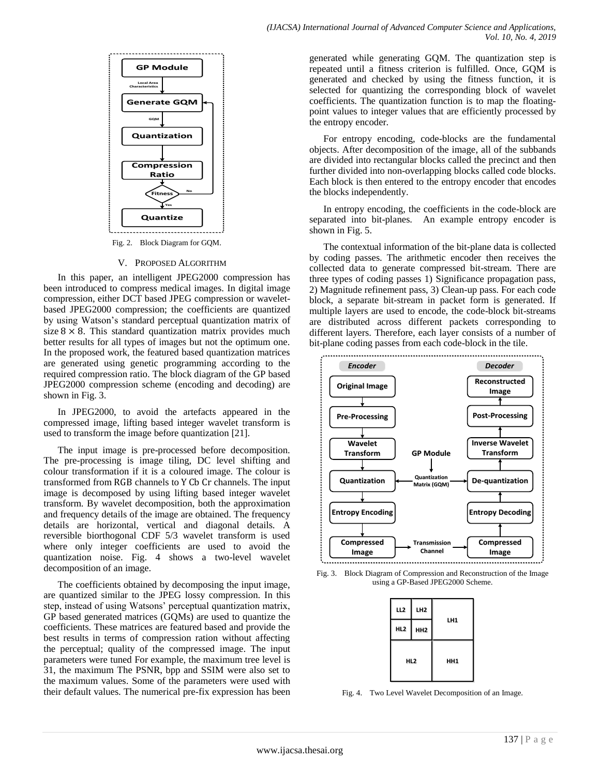

#### V. PROPOSED ALGORITHM

In this paper, an intelligent JPEG2000 compression has been introduced to compress medical images. In digital image compression, either DCT based JPEG compression or waveletbased JPEG2000 compression; the coefficients are quantized by using Watson's standard perceptual quantization matrix of size  $8 \times 8$ . This standard quantization matrix provides much better results for all types of images but not the optimum one. In the proposed work, the featured based quantization matrices are generated using genetic programming according to the required compression ratio. The block diagram of the GP based JPEG2000 compression scheme (encoding and decoding) are shown in Fig. 3.

In JPEG2000, to avoid the artefacts appeared in the compressed image, lifting based integer wavelet transform is used to transform the image before quantization [21].

The input image is pre-processed before decomposition. The pre-processing is image tiling, DC level shifting and colour transformation if it is a coloured image. The colour is transformed from RGB channels to Y Cb Cr channels. The input image is decomposed by using lifting based integer wavelet transform. By wavelet decomposition, both the approximation and frequency details of the image are obtained. The frequency details are horizontal, vertical and diagonal details. A reversible biorthogonal CDF 5/3 wavelet transform is used where only integer coefficients are used to avoid the quantization noise. Fig. 4 shows a two-level wavelet decomposition of an image.

The coefficients obtained by decomposing the input image, are quantized similar to the JPEG lossy compression. In this step, instead of using Watsons' perceptual quantization matrix, GP based generated matrices (GQMs) are used to quantize the coefficients. These matrices are featured based and provide the best results in terms of compression ration without affecting the perceptual; quality of the compressed image. The input parameters were tuned For example, the maximum tree level is 31, the maximum The PSNR, bpp and SSIM were also set to the maximum values. Some of the parameters were used with their default values. The numerical pre-fix expression has been generated while generating GQM. The quantization step is repeated until a fitness criterion is fulfilled. Once, GQM is generated and checked by using the fitness function, it is selected for quantizing the corresponding block of wavelet coefficients. The quantization function is to map the floatingpoint values to integer values that are efficiently processed by the entropy encoder.

For entropy encoding, code-blocks are the fundamental objects. After decomposition of the image, all of the subbands are divided into rectangular blocks called the precinct and then further divided into non-overlapping blocks called code blocks. Each block is then entered to the entropy encoder that encodes the blocks independently.

In entropy encoding, the coefficients in the code-block are separated into bit-planes. An example entropy encoder is shown in Fig. 5.

The contextual information of the bit-plane data is collected by coding passes. The arithmetic encoder then receives the collected data to generate compressed bit-stream. There are three types of coding passes 1) Significance propagation pass, 2) Magnitude refinement pass, 3) Clean-up pass. For each code block, a separate bit-stream in packet form is generated. If multiple layers are used to encode, the code-block bit-streams are distributed across different packets corresponding to different layers. Therefore, each layer consists of a number of bit-plane coding passes from each code-block in the tile.





| L2                     | LH2 |     |
|------------------------|-----|-----|
| HL2<br>HH <sub>2</sub> |     | LH1 |
|                        | HL2 | HH1 |

Fig. 4. Two Level Wavelet Decomposition of an Image.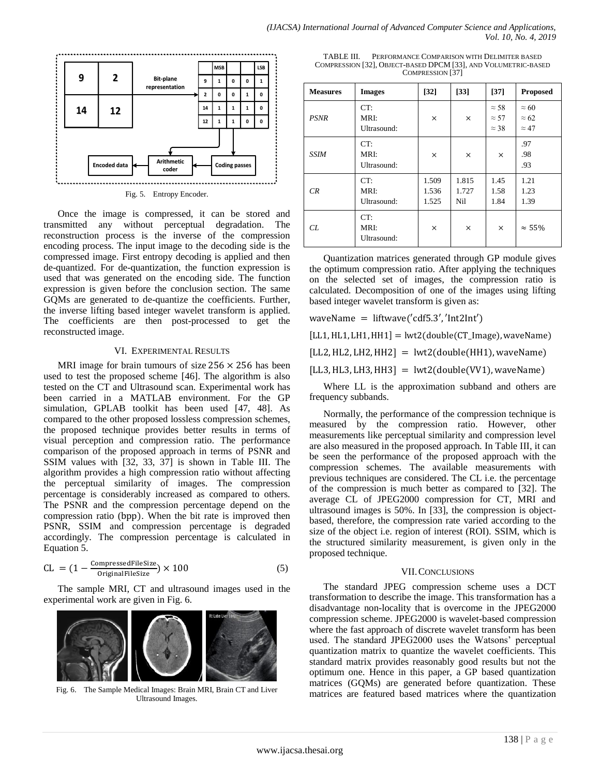

Once the image is compressed, it can be stored and transmitted any without perceptual degradation. The reconstruction process is the inverse of the compression encoding process. The input image to the decoding side is the compressed image. First entropy decoding is applied and then de-quantized. For de-quantization, the function expression is used that was generated on the encoding side. The function expression is given before the conclusion section. The same GQMs are generated to de-quantize the coefficients. Further, the inverse lifting based integer wavelet transform is applied. The coefficients are then post-processed to get the reconstructed image.

#### VI. EXPERIMENTAL RESULTS

MRI image for brain tumours of size  $256 \times 256$  has been used to test the proposed scheme [46]. The algorithm is also tested on the CT and Ultrasound scan. Experimental work has been carried in a MATLAB environment. For the GP simulation, GPLAB toolkit has been used [47, 48]. As compared to the other proposed lossless compression schemes, the proposed technique provides better results in terms of visual perception and compression ratio. The performance comparison of the proposed approach in terms of PSNR and SSIM values with [32, 33, 37] is shown in Table III. The algorithm provides a high compression ratio without affecting the perceptual similarity of images. The compression percentage is considerably increased as compared to others. The PSNR and the compression percentage depend on the compression ratio (bpp). When the bit rate is improved then PSNR, SSIM and compression percentage is degraded accordingly. The compression percentage is calculated in Equation 5.

$$
CL = (1 - \frac{\text{Compressed FileSize}}{\text{Original FileSize}}) \times 100
$$
 (5)

The sample MRI, CT and ultrasound images used in the experimental work are given in Fig. 6.



Fig. 6. The Sample Medical Images: Brain MRI, Brain CT and Liver Ultrasound Images.

TABLE III. PERFORMANCE COMPARISON WITH DELIMITER BASED COMPRESSION [32], OBJECT-BASED DPCM [33], AND VOLUMETRIC-BASED COMPRESSION [37]

| <b>Measures</b> | <b>Images</b>              | $[32]$                  | $[33]$                | $[37]$                                       | <b>Proposed</b>                              |
|-----------------|----------------------------|-------------------------|-----------------------|----------------------------------------------|----------------------------------------------|
| <b>PSNR</b>     | CT:<br>MRI:<br>Ultrasound: | ×                       | $\times$              | $\approx$ 58<br>$\approx$ 57<br>$\approx$ 38 | $\approx 60$<br>$\approx 62$<br>$\approx 47$ |
| <b>SSIM</b>     | CT:<br>MRI:<br>Ultrasound: | ×                       | $\times$              | $\times$                                     | .97<br>.98<br>.93                            |
| CR              | CT:<br>MRI:<br>Ultrasound: | 1.509<br>1.536<br>1.525 | 1.815<br>1.727<br>Nil | 1.45<br>1.58<br>1.84                         | 1.21<br>1.23<br>1.39                         |
| CL              | CT:<br>MRI:<br>Ultrasound: | $\times$                | ×                     | $\times$                                     | $\approx 55\%$                               |

Quantization matrices generated through GP module gives the optimum compression ratio. After applying the techniques on the selected set of images, the compression ratio is calculated. Decomposition of one of the images using lifting based integer wavelet transform is given as:

waveName =  $liftwave('cdf5.3', 'Int2Int')$ 

 $[LL1, HL1, LH1, HH1] = lwt2(double (CT_Image), waveName)$ 

 $[LL2, HL2, LH2, HH2] = lwt2(double(HH1), waveName)$ 

 $[LL3, HL3, LH3, HH3] = lwt2(double(VV1), waveName)$ 

Where LL is the approximation subband and others are frequency subbands.

Normally, the performance of the compression technique is measured by the compression ratio. However, other measurements like perceptual similarity and compression level are also measured in the proposed approach. In Table III, it can be seen the performance of the proposed approach with the compression schemes. The available measurements with previous techniques are considered. The CL i.e. the percentage of the compression is much better as compared to [32]. The average CL of JPEG2000 compression for CT, MRI and ultrasound images is 50%. In [33], the compression is objectbased, therefore, the compression rate varied according to the size of the object i.e. region of interest (ROI). SSIM, which is the structured similarity measurement, is given only in the proposed technique.

## VII.CONCLUSIONS

The standard JPEG compression scheme uses a DCT transformation to describe the image. This transformation has a disadvantage non-locality that is overcome in the JPEG2000 compression scheme. JPEG2000 is wavelet-based compression where the fast approach of discrete wavelet transform has been used. The standard JPEG2000 uses the Watsons' perceptual quantization matrix to quantize the wavelet coefficients. This standard matrix provides reasonably good results but not the optimum one. Hence in this paper, a GP based quantization matrices (GQMs) are generated before quantization. These matrices are featured based matrices where the quantization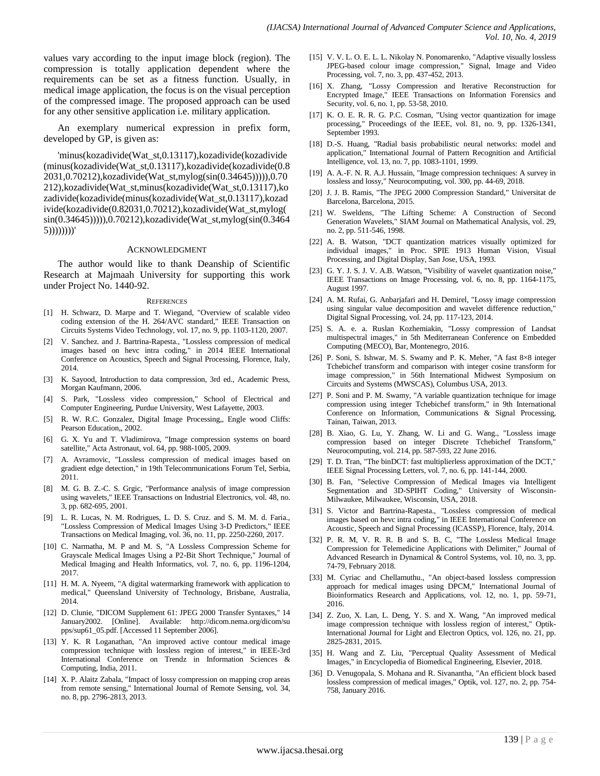values vary according to the input image block (region). The compression is totally application dependent where the requirements can be set as a fitness function. Usually, in medical image application, the focus is on the visual perception of the compressed image. The proposed approach can be used for any other sensitive application i.e. military application.

An exemplary numerical expression in prefix form, developed by GP, is given as:

'minus(kozadivide(Wat\_st,0.13117),kozadivide(kozadivide (minus(kozadivide(Wat\_st,0.13117),kozadivide(kozadivide(0.8 2031,0.70212),kozadivide(Wat\_st,mylog(sin(0.34645))))),0.70 212),kozadivide(Wat\_st,minus(kozadivide(Wat\_st,0.13117),ko zadivide(kozadivide(minus(kozadivide(Wat\_st,0.13117),kozad ivide(kozadivide(0.82031,0.70212),kozadivide(Wat\_st,mylog( sin(0.34645))))),0.70212),kozadivide(Wat\_st,mylog(sin(0.3464 5))))))))'

#### ACKNOWLEDGMENT

The author would like to thank Deanship of Scientific Research at Majmaah University for supporting this work under Project No. 1440-92.

#### **REFERENCES**

- [1] H. Schwarz, D. Marpe and T. Wiegand, "Overview of scalable video coding extension of the H. 264/AVC standard," IEEE Transaction on Circuits Systems Video Technology, vol. 17, no. 9, pp. 1103-1120, 2007.
- [2] V. Sanchez. and J. Bartrina-Rapesta., "Lossless compression of medical images based on hevc intra coding," in 2014 IEEE International Conference on Acoustics, Speech and Signal Processing, Florence, Italy, 2014.
- [3] K. Sayood, Introduction to data compression, 3rd ed., Academic Press, Morgan Kaufmann, 2006.
- [4] S. Park, "Lossless video compression," School of Electrical and Computer Engineering, Purdue University, West Lafayette, 2003.
- [5] R. W. R.C. Gonzalez, Digital Image Processing,, Engle wood Cliffs: Pearson Education,, 2002.
- [6] G. X. Yu and T. Vladimirova, "Image compression systems on board satellite," Acta Astronaut, vol. 64, pp. 988-1005, 2009.
- [7] A. Avramovic, "Lossless compression of medical images based on gradient edge detection," in 19th Telecommunications Forum Tel, Serbia, 2011.
- [8] M. G. B. Z.-C. S. Grgic, "Performance analysis of image compression using wavelets," IEEE Transactions on Industrial Electronics, vol. 48, no. 3, pp. 682-695, 2001.
- [9] L. R. Lucas, N. M. Rodrigues, L. D. S. Cruz. and S. M. M. d. Faria., 'Lossless Compression of Medical Images Using 3-D Predictors," IEEE Transactions on Medical Imaging, vol. 36, no. 11, pp. 2250-2260, 2017.
- [10] C. Narmatha, M. P and M. S, "A Lossless Compression Scheme for Grayscale Medical Images Using a P2-Bit Short Technique," Journal of Medical Imaging and Health Informatics, vol. 7, no. 6, pp. 1196-1204, 2017.
- [11] H. M. A. Nyeem, "A digital watermarking framework with application to medical," Queensland University of Technology, Brisbane, Australia, 2014.
- [12] D. Clunie, "DICOM Supplement 61: JPEG 2000 Transfer Syntaxes," 14 January2002. [Online]. Available: http://dicom.nema.org/dicom/su pps/sup61\_05.pdf. [Accessed 11 September 2006].
- [13] Y. K. R Loganathan, "An improved active contour medical image compression technique with lossless region of interest," in IEEE-3rd International Conference on Trendz in Information Sciences & Computing, India, 2011.
- [14] X. P. Alaitz Zabala, "Impact of lossy compression on mapping crop areas from remote sensing," International Journal of Remote Sensing, vol. 34, no. 8, pp. 2796-2813, 2013.
- [15] V. V. L. O. E. L. L. Nikolay N. Ponomarenko, "Adaptive visually lossless JPEG-based colour image compression," Signal, Image and Video Processing, vol. 7, no. 3, pp. 437-452, 2013.
- [16] X. Zhang, "Lossy Compression and Iterative Reconstruction for Encrypted Image," IEEE Transactions on Information Forensics and Security, vol. 6, no. 1, pp. 53-58, 2010.
- [17] K. O. E. R. R. G. P.C. Cosman, "Using vector quantization for image processing," Proceedings of the IEEE, vol. 81, no. 9, pp. 1326-1341, September 1993.
- [18] D.-S. Huang, "Radial basis probabilistic neural networks: model and application," International Journal of Pattern Recognition and Artificial Intelligence, vol. 13, no. 7, pp. 1083-1101, 1999.
- [19] A. A.-F. N. R. A.J. Hussain, "Image compression techniques: A survey in lossless and lossy," Neurocomputing, vol. 300, pp. 44-69, 2018.
- [20] J. J. B. Ramis, "The JPEG 2000 Compression Standard," Universitat de Barcelona, Barcelona, 2015.
- [21] W. Sweldens, "The Lifting Scheme: A Construction of Second Generation Wavelets," SIAM Journal on Mathematical Analysis, vol. 29, no. 2, pp. 511-546, 1998.
- [22] A. B. Watson, "DCT quantization matrices visually optimized for individual images," in Proc. SPIE 1913 Human Vision, Visual Processing, and Digital Display, San Jose, USA, 1993.
- [23] G. Y. J. S. J. V. A.B. Watson, "Visibility of wavelet quantization noise," IEEE Transactions on Image Processing, vol. 6, no. 8, pp. 1164-1175, August 1997.
- [24] A. M. Rufai, G. Anbarjafari and H. Demirel, "Lossy image compression using singular value decomposition and wavelet difference reduction," Digital Signal Processing, vol. 24, pp. 117-123, 2014.
- [25] S. A. e. a. Ruslan Kozhemiakin, "Lossy compression of Landsat multispectral images," in 5th Mediterranean Conference on Embedded Computing (MECO), Bar, Montenegro, 2016.
- [26] P. Soni, S. Ishwar, M. S. Swamy and P. K. Meher, "A fast 8×8 integer Tchebichef transform and comparison with integer cosine transform for image compression," in 56th International Midwest Symposium on Circuits and Systems (MWSCAS), Columbus USA, 2013.
- [27] P. Soni and P. M. Swamy, "A variable quantization technique for image compression using integer Tchebichef transform," in 9th International Conference on Information, Communications & Signal Processing, Tainan, Taiwan, 2013.
- [28] B. Xiao, G. Lu, Y. Zhang, W. Li and G. Wang., "Lossless image compression based on integer Discrete Tchebichef Transform," Neurocomputing, vol. 214, pp. 587-593, 22 June 2016.
- [29] T. D. Tran, "The binDCT: fast multiplierless approximation of the DCT," IEEE Signal Processing Letters, vol. 7, no. 6, pp. 141-144, 2000.
- [30] B. Fan, "Selective Compression of Medical Images via Intelligent Segmentation and 3D-SPIHT Coding," University of Wisconsin-Milwaukee, Milwaukee, Wisconsin, USA, 2018.
- [31] S. Victor and Bartrina-Rapesta., "Lossless compression of medical images based on hevc intra coding," in IEEE International Conference on Acoustic, Speech and Signal Processing (ICASSP), Florence, Italy, 2014.
- [32] P. R. M, V. R. R. B and S. B. C, "The Lossless Medical Image Compression for Telemedicine Applications with Delimiter," Journal of Advanced Research in Dynamical & Control Systems, vol. 10, no. 3, pp. 74-79, February 2018.
- [33] M. Cyriac and Chellamuthu., "An object-based lossless compression approach for medical images using DPCM," International Journal of Bioinformatics Research and Applications, vol. 12, no. 1, pp. 59-71, 2016.
- [34] Z. Zuo, X. Lan, L. Deng, Y. S. and X. Wang, "An improved medical image compression technique with lossless region of interest," Optik-International Journal for Light and Electron Optics, vol. 126, no. 21, pp. 2825-2831, 2015.
- [35] H. Wang and Z. Liu, "Perceptual Quality Assessment of Medical Images," in Encyclopedia of Biomedical Engineering, Elsevier, 2018.
- [36] D. Venugopala, S. Mohana and R. Sivanantha, "An efficient block based lossless compression of medical images," Optik, vol. 127, no. 2, pp. 754- 758, January 2016.